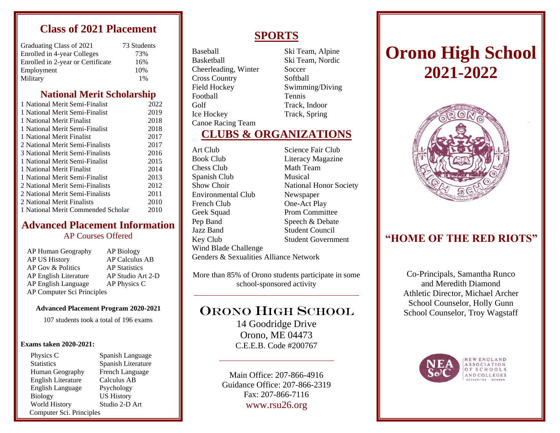# **Class of 2021 Placement**

| Graduating Class of 2021          | 73 Students |
|-----------------------------------|-------------|
| Enrolled in 4-year Colleges       | 73%         |
| Enrolled in 2-year or Certificate | 16%         |
| Employment                        | 10%         |
| Military                          | 1%          |

# **National Merit Scholarship**

| 1 National Merit Semi-Finalist     | 2022 |
|------------------------------------|------|
| 1 National Merit Semi-Finalist     | 2019 |
| 1 National Merit Finalist          | 2018 |
| 1 National Merit Semi-Finalist     | 2018 |
| 1 National Merit Finalist          | 2017 |
| 2 National Merit Semi-Finalists    | 2017 |
| 3 National Merit Semi-Finalists    | 2016 |
| 1 National Merit Semi-Finalist     | 2015 |
| 1 National Merit Finalist          | 2014 |
| 1 National Merit Semi-Finalist     | 2013 |
| 2 National Merit Semi-Finalists    | 2012 |
| 2 National Merit Semi-Finalists    | 2011 |
| 2 National Merit Finalists         | 2010 |
| 1 National Merit Commended Scholar | 2010 |
|                                    |      |

### **Advanced Placement Information** AP Courses Offered

| AP Human Geography         | AP Biology            |
|----------------------------|-----------------------|
| <b>AP US History</b>       | <b>AP Calculus AB</b> |
| AP Gov & Politics          | <b>AP</b> Statistics  |
| AP English Literature      | AP Studio Art 2-D     |
| AP English Language        | AP Physics C          |
| AP Computer Sci Principles |                       |

#### **Advanced Placement Program 2020-2021**

107 students took a total of 196 exams

#### **Exams taken 2020-2021:**

Physics C Spanish Language Statistics Spanish Literature Human Geography French Language English Literature Calculus AB English Language Psychology Biology US History World History Studio 2-D Art Computer Sci. Principles

# **SPORTS**

Baseball Ski Team, Alpine Basketball Ski Team, Nordic Cheerleading, Winter Soccer Cross Country Softball Field Hockey Swimming/Diving Football Tennis Golf Track, Indoor Ice Hockey Track, Spring Canoe Racing Team

# **CLUBS & ORGANIZATIONS**

Art Club Science Fair Club Book Club Literacy Magazine Chess Club Math Team Spanish Club Musical Environmental Club Newspaper French Club One-Act Play Geek Squad Prom Committee Pep Band Speech & Debate Jazz Band Student Council Wind Blade Challenge

Show Choir National Honor Society Key Club Student Government

## Genders & Sexualities Alliance Network

More than 85% of Orono students participate in some school-sponsored activity

# ORONO HIGH SCHOOL

14 Goodridge Drive Orono, ME 04473 C.E.E.B. Code #200767

Main Office: 207-866-4916 Guidance Office: 207-866-2319 Fax: 207-866-7116 www.rsu26.org

# **Orono High School 2021-2022**



# **"HOME OF THE RED RIOTS"**

Co-Principals, Samantha Runco and Meredith Diamond Athletic Director, Michael Archer School Counselor, Holly Gunn School Counselor, Troy Wagstaff